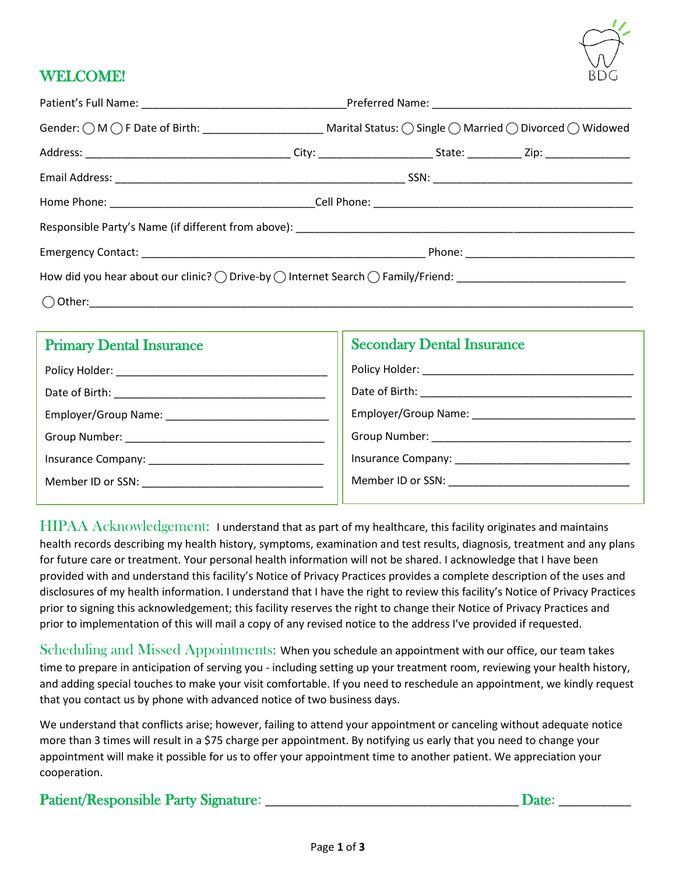

## WELCOME!

| How did you hear about our clinic? $\bigcirc$ Drive-by $\bigcirc$ Internet Search $\bigcirc$ Family/Friend: |  |  |  |  |  |
|-------------------------------------------------------------------------------------------------------------|--|--|--|--|--|
|                                                                                                             |  |  |  |  |  |

| <b>Primary Dental Insurance</b>           | <b>Secondary Dental Insurance</b>      |
|-------------------------------------------|----------------------------------------|
| Policy Holder: New York Policy Holder:    | Policy Holder: _______________________ |
| Date of Birth: ____________               | Date of Birth: __________              |
|                                           | Employer/Group Name:                   |
| Group Number: National Assembly Processes |                                        |
| Insurance Company:                        | Insurance Company: ____________        |
| Member ID or SSN:                         | Member ID or SSN:                      |
|                                           |                                        |

HIPAA Acknowledgement: I understand that as part of my healthcare, this facility originates and maintains health records describing my health history, symptoms, examination and test results, diagnosis, treatment and any plans for future care or treatment. Your personal health information will not be shared. I acknowledge that I have been provided with and understand this facility's Notice of Privacy Practices provides a complete description of the uses and disclosures of my health information. I understand that I have the right to review this facility's Notice of Privacy Practices prior to signing this acknowledgement; this facility reserves the right to change their Notice of Privacy Practices and prior to implementation of this will mail a copy of any revised notice to the address I've provided if requested.

Scheduling and Missed Appointments: When you schedule an appointment with our office, our team takes time to prepare in anticipation of serving you - including setting up your treatment room, reviewing your health history, and adding special touches to make your visit comfortable. If you need to reschedule an appointment, we kindly request that you contact us by phone with advanced notice of two business days.

We understand that conflicts arise; however, failing to attend your appointment or canceling without adequate notice more than 3 times will result in a \$75 charge per appointment. By notifying us early that you need to change your appointment will make it possible for us to offer your appointment time to another patient. We appreciation your cooperation.

Patient/Responsible Party Signature: \_\_\_\_\_\_\_\_\_\_\_\_\_\_\_\_\_\_\_\_\_\_\_\_\_\_\_\_\_\_\_\_\_\_\_\_\_\_\_\_\_\_ Date: \_\_\_\_\_\_\_\_\_\_\_\_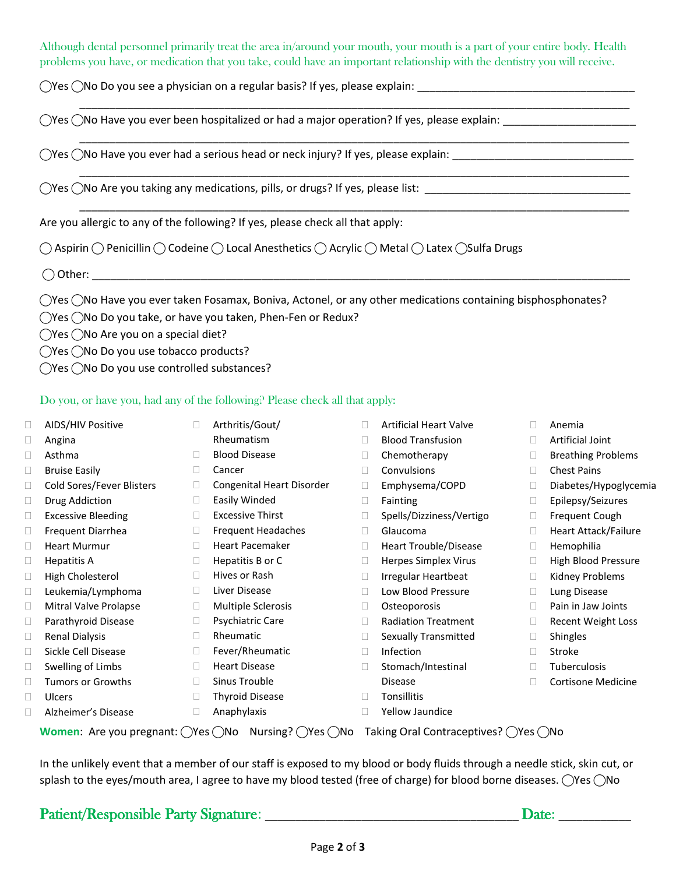Although dental personnel primarily treat the area in/around your mouth, your mouth is a part of your entire body. Health problems you have, or medication that you take, could have an important relationship with the dentistry you will receive.

\_\_\_\_\_\_\_\_\_\_\_\_\_\_\_\_\_\_\_\_\_\_\_\_\_\_\_\_\_\_\_\_\_\_\_\_\_\_\_\_\_\_\_\_\_\_\_\_\_\_\_\_\_\_\_\_\_\_\_\_\_\_\_\_\_\_\_\_\_\_\_\_\_\_\_\_\_\_\_\_\_\_\_\_\_\_\_\_\_\_\_

\_\_\_\_\_\_\_\_\_\_\_\_\_\_\_\_\_\_\_\_\_\_\_\_\_\_\_\_\_\_\_\_\_\_\_\_\_\_\_\_\_\_\_\_\_\_\_\_\_\_\_\_\_\_\_\_\_\_\_\_\_\_\_\_\_\_\_\_\_\_\_\_\_\_\_\_\_\_\_\_\_\_\_\_\_\_\_\_\_\_\_

\_\_\_\_\_\_\_\_\_\_\_\_\_\_\_\_\_\_\_\_\_\_\_\_\_\_\_\_\_\_\_\_\_\_\_\_\_\_\_\_\_\_\_\_\_\_\_\_\_\_\_\_\_\_\_\_\_\_\_\_\_\_\_\_\_\_\_\_\_\_\_\_\_\_\_\_\_\_\_\_\_\_\_\_\_\_\_\_\_\_\_

\_\_\_\_\_\_\_\_\_\_\_\_\_\_\_\_\_\_\_\_\_\_\_\_\_\_\_\_\_\_\_\_\_\_\_\_\_\_\_\_\_\_\_\_\_\_\_\_\_\_\_\_\_\_\_\_\_\_\_\_\_\_\_\_\_\_\_\_\_\_\_\_\_\_\_\_\_\_\_\_\_\_\_\_\_\_\_\_\_\_\_

 $\bigcirc$ Yes  $\bigcirc$ No Do you see a physician on a regular basis? If yes, please explain:

 $\bigcirc$ Yes  $\bigcirc$ No Have you ever been hospitalized or had a major operation? If yes, please explain:

 $\bigcap$ Yes  $\bigcap$ No Have you ever had a serious head or neck injury? If yes, please explain:

 $\bigcirc$ Yes  $\bigcirc$ No Are you taking any medications, pills, or drugs? If yes, please list:  $\bigcirc$ 

Are you allergic to any of the following? If yes, please check all that apply:

◯ Aspirin ◯ Penicillin ◯ Codeine ◯ Local Anesthetics ◯ Acrylic ◯ Metal ◯ Latex ◯Sulfa Drugs

 $\bigcirc$  Other:

 $\bigcirc$ Yes  $\bigcirc$ No Have you ever taken Fosamax, Boniva, Actonel, or any other medications containing bisphosphonates?

 $\bigcirc$ Yes  $\bigcirc$ No Do you take, or have you taken, Phen-Fen or Redux?

◯Yes ◯No Are you on a special diet?

◯Yes ◯No Do you use tobacco products?

◯Yes ◯No Do you use controlled substances?

## Do you, or have you, had any of the following? Please check all that apply:

□ AIDS/HIV Positive Angina Asthma □ Bruise Easily □ Cold Sores/Fever Blisters  $\Box$  Drug Addiction □ Excessive Bleeding □ Frequent Diarrhea Heart Murmur  $\Box$  Hepatitis A □ High Cholesterol Leukemia/Lymphoma Mitral Valve Prolapse Parathyroid Disease Renal Dialysis □ Sickle Cell Disease  $\Box$  Swelling of Limbs  $\Box$  Tumors or Growths Ulcers Alzheimer's Disease Arthritis/Gout/ Rheumatism □ Blood Disease Cancer Congenital Heart Disorder Easily Winded □ Excessive Thirst □ Frequent Headaches Heart Pacemaker  $\Box$  Hepatitis B or C **Hives or Rash** D Liver Disease Multiple Sclerosis □ Psychiatric Care Rheumatic □ Fever/Rheumatic **Heart Disease** □ Sinus Trouble **Thyroid Disease**  Anaphylaxis □ Artificial Heart Valve □ Blood Transfusion D Chemotherapy Convulsions Emphysema/COPD Fainting □ Spells/Dizziness/Vertigo Glaucoma Heart Trouble/Disease □ Herpes Simplex Virus □ Irregular Heartbeat D Low Blood Pressure Osteoporosis □ Radiation Treatment □ Sexually Transmitted □ Infection □ Stomach/Intestinal Disease **Tonsillitis**  Yellow Jaundice Anemia Artificial Joint □ Breathing Problems □ Chest Pains Diabetes/Hypoglycemia Epilepsy/Seizures □ Frequent Cough □ Heart Attack/Failure Hemophilia □ High Blood Pressure □ Kidney Problems D Lung Disease □ Pain in Jaw Joints Recent Weight Loss Shingles □ Stroke Tuberculosis Cortisone Medicine

**Women:** Are you pregnant: ◯Yes ◯No Nursing? ◯Yes ◯No Taking Oral Contraceptives? ◯Yes ◯No

In the unlikely event that a member of our staff is exposed to my blood or body fluids through a needle stick, skin cut, or splash to the eyes/mouth area, I agree to have my blood tested (free of charge) for blood borne diseases.  $\bigcirc$ Yes  $\bigcirc$ No

|  |  | <b>Patient/Responsible Party Signature</b> |
|--|--|--------------------------------------------|
|  |  |                                            |